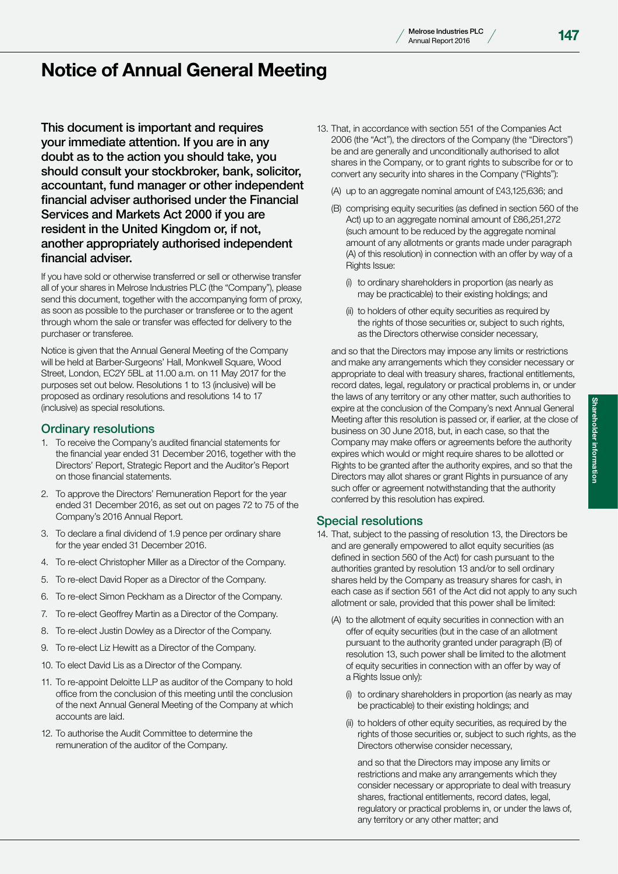# Notice of Annual General Meeting

This document is important and requires your immediate attention. If you are in any doubt as to the action you should take, you should consult your stockbroker, bank, solicitor, accountant, fund manager or other independent financial adviser authorised under the Financial Services and Markets Act 2000 if you are resident in the United Kingdom or, if not, another appropriately authorised independent financial adviser.

If you have sold or otherwise transferred or sell or otherwise transfer all of your shares in Melrose Industries PLC (the "Company"), please send this document, together with the accompanying form of proxy, as soon as possible to the purchaser or transferee or to the agent through whom the sale or transfer was effected for delivery to the purchaser or transferee.

Notice is given that the Annual General Meeting of the Company will be held at Barber-Surgeons' Hall, Monkwell Square, Wood Street, London, EC2Y 5BL at 11.00 a.m. on 11 May 2017 for the purposes set out below. Resolutions 1 to 13 (inclusive) will be proposed as ordinary resolutions and resolutions 14 to 17 (inclusive) as special resolutions.

## Ordinary resolutions

- 1. To receive the Company's audited financial statements for the financial year ended 31 December 2016, together with the Directors' Report, Strategic Report and the Auditor's Report on those financial statements.
- 2. To approve the Directors' Remuneration Report for the year ended 31 December 2016, as set out on pages 72 to 75 of the Company's 2016 Annual Report.
- 3. To declare a final dividend of 1.9 pence per ordinary share for the year ended 31 December 2016.
- 4. To re-elect Christopher Miller as a Director of the Company.
- 5. To re-elect David Roper as a Director of the Company.
- 6. To re-elect Simon Peckham as a Director of the Company.
- 7. To re-elect Geoffrey Martin as a Director of the Company.
- 8. To re-elect Justin Dowley as a Director of the Company.
- 9. To re-elect Liz Hewitt as a Director of the Company.
- 10. To elect David Lis as a Director of the Company.
- 11. To re-appoint Deloitte LLP as auditor of the Company to hold office from the conclusion of this meeting until the conclusion of the next Annual General Meeting of the Company at which accounts are laid.
- 12. To authorise the Audit Committee to determine the remuneration of the auditor of the Company.
- 13. That, in accordance with section 551 of the Companies Act 2006 (the "Act"), the directors of the Company (the "Directors") be and are generally and unconditionally authorised to allot shares in the Company, or to grant rights to subscribe for or to convert any security into shares in the Company ("Rights"):
	- (A) up to an aggregate nominal amount of £43,125,636; and
	- (B) comprising equity securities (as defined in section 560 of the Act) up to an aggregate nominal amount of £86,251,272 (such amount to be reduced by the aggregate nominal amount of any allotments or grants made under paragraph (A) of this resolution) in connection with an offer by way of a Rights Issue:
		- (i) to ordinary shareholders in proportion (as nearly as may be practicable) to their existing holdings; and
		- (ii) to holders of other equity securities as required by the rights of those securities or, subject to such rights, as the Directors otherwise consider necessary,

 and so that the Directors may impose any limits or restrictions and make any arrangements which they consider necessary or appropriate to deal with treasury shares, fractional entitlements, record dates, legal, regulatory or practical problems in, or under the laws of any territory or any other matter, such authorities to expire at the conclusion of the Company's next Annual General Meeting after this resolution is passed or, if earlier, at the close of business on 30 June 2018, but, in each case, so that the Company may make offers or agreements before the authority expires which would or might require shares to be allotted or Rights to be granted after the authority expires, and so that the Directors may allot shares or grant Rights in pursuance of any such offer or agreement notwithstanding that the authority conferred by this resolution has expired.

## Special resolutions

- 14. That, subject to the passing of resolution 13, the Directors be and are generally empowered to allot equity securities (as defined in section 560 of the Act) for cash pursuant to the authorities granted by resolution 13 and/or to sell ordinary shares held by the Company as treasury shares for cash, in each case as if section 561 of the Act did not apply to any such allotment or sale, provided that this power shall be limited:
	- (A) to the allotment of equity securities in connection with an offer of equity securities (but in the case of an allotment pursuant to the authority granted under paragraph (B) of resolution 13, such power shall be limited to the allotment of equity securities in connection with an offer by way of a Rights Issue only):
		- (i) to ordinary shareholders in proportion (as nearly as may be practicable) to their existing holdings; and
		- (ii) to holders of other equity securities, as required by the rights of those securities or, subject to such rights, as the Directors otherwise consider necessary,

 and so that the Directors may impose any limits or restrictions and make any arrangements which they consider necessary or appropriate to deal with treasury shares, fractional entitlements, record dates, legal, regulatory or practical problems in, or under the laws of, any territory or any other matter; and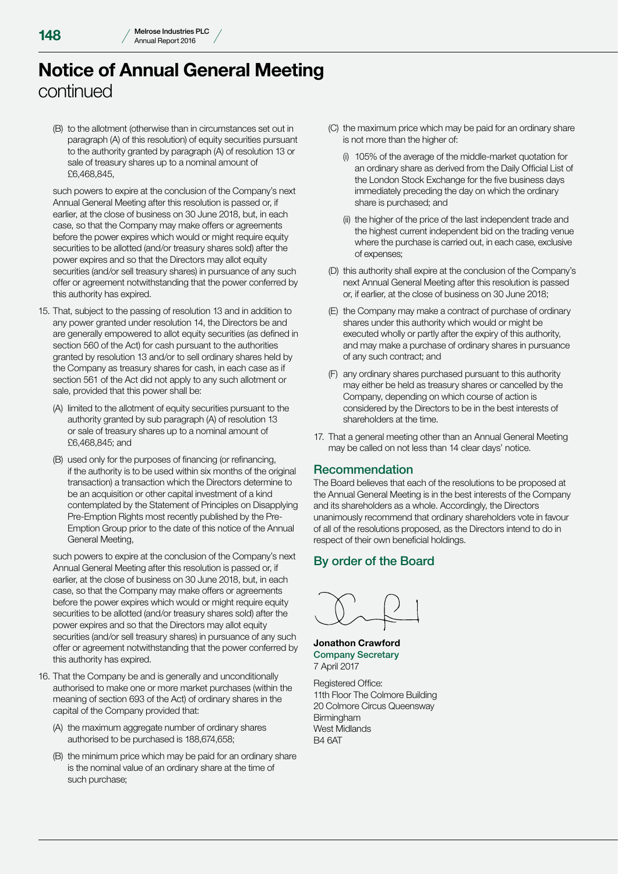## Notice of Annual General Meeting continued

(B) to the allotment (otherwise than in circumstances set out in paragraph (A) of this resolution) of equity securities pursuant to the authority granted by paragraph (A) of resolution 13 or sale of treasury shares up to a nominal amount of £6,468,845,

 such powers to expire at the conclusion of the Company's next Annual General Meeting after this resolution is passed or, if earlier, at the close of business on 30 June 2018, but, in each case, so that the Company may make offers or agreements before the power expires which would or might require equity securities to be allotted (and/or treasury shares sold) after the power expires and so that the Directors may allot equity securities (and/or sell treasury shares) in pursuance of any such offer or agreement notwithstanding that the power conferred by this authority has expired.

- 15. That, subject to the passing of resolution 13 and in addition to any power granted under resolution 14, the Directors be and are generally empowered to allot equity securities (as defined in section 560 of the Act) for cash pursuant to the authorities granted by resolution 13 and/or to sell ordinary shares held by the Company as treasury shares for cash, in each case as if section 561 of the Act did not apply to any such allotment or sale, provided that this power shall be:
	- (A) limited to the allotment of equity securities pursuant to the authority granted by sub paragraph (A) of resolution 13 or sale of treasury shares up to a nominal amount of £6,468,845; and
	- (B) used only for the purposes of financing (or refinancing, if the authority is to be used within six months of the original transaction) a transaction which the Directors determine to be an acquisition or other capital investment of a kind contemplated by the Statement of Principles on Disapplying Pre-Emption Rights most recently published by the Pre-Emption Group prior to the date of this notice of the Annual General Meeting,

 such powers to expire at the conclusion of the Company's next Annual General Meeting after this resolution is passed or, if earlier, at the close of business on 30 June 2018, but, in each case, so that the Company may make offers or agreements before the power expires which would or might require equity securities to be allotted (and/or treasury shares sold) after the power expires and so that the Directors may allot equity securities (and/or sell treasury shares) in pursuance of any such offer or agreement notwithstanding that the power conferred by this authority has expired.

- 16. That the Company be and is generally and unconditionally authorised to make one or more market purchases (within the meaning of section 693 of the Act) of ordinary shares in the capital of the Company provided that:
	- (A) the maximum aggregate number of ordinary shares authorised to be purchased is 188,674,658;
	- (B) the minimum price which may be paid for an ordinary share is the nominal value of an ordinary share at the time of such purchase;
- (C) the maximum price which may be paid for an ordinary share is not more than the higher of:
	- (i) 105% of the average of the middle-market quotation for an ordinary share as derived from the Daily Official List of the London Stock Exchange for the five business days immediately preceding the day on which the ordinary share is purchased; and
	- (ii) the higher of the price of the last independent trade and the highest current independent bid on the trading venue where the purchase is carried out, in each case, exclusive of expenses;
- (D) this authority shall expire at the conclusion of the Company's next Annual General Meeting after this resolution is passed or, if earlier, at the close of business on 30 June 2018;
- (E) the Company may make a contract of purchase of ordinary shares under this authority which would or might be executed wholly or partly after the expiry of this authority, and may make a purchase of ordinary shares in pursuance of any such contract; and
- (F) any ordinary shares purchased pursuant to this authority may either be held as treasury shares or cancelled by the Company, depending on which course of action is considered by the Directors to be in the best interests of shareholders at the time.
- 17. That a general meeting other than an Annual General Meeting may be called on not less than 14 clear days' notice.

### Recommendation

The Board believes that each of the resolutions to be proposed at the Annual General Meeting is in the best interests of the Company and its shareholders as a whole. Accordingly, the Directors unanimously recommend that ordinary shareholders vote in favour of all of the resolutions proposed, as the Directors intend to do in respect of their own beneficial holdings.

## By order of the Board

Jonathon Crawford Company Secretary 7 April 2017

Registered Office: 11th Floor The Colmore Building 20 Colmore Circus Queensway **Birmingham** West Midlands B4 6AT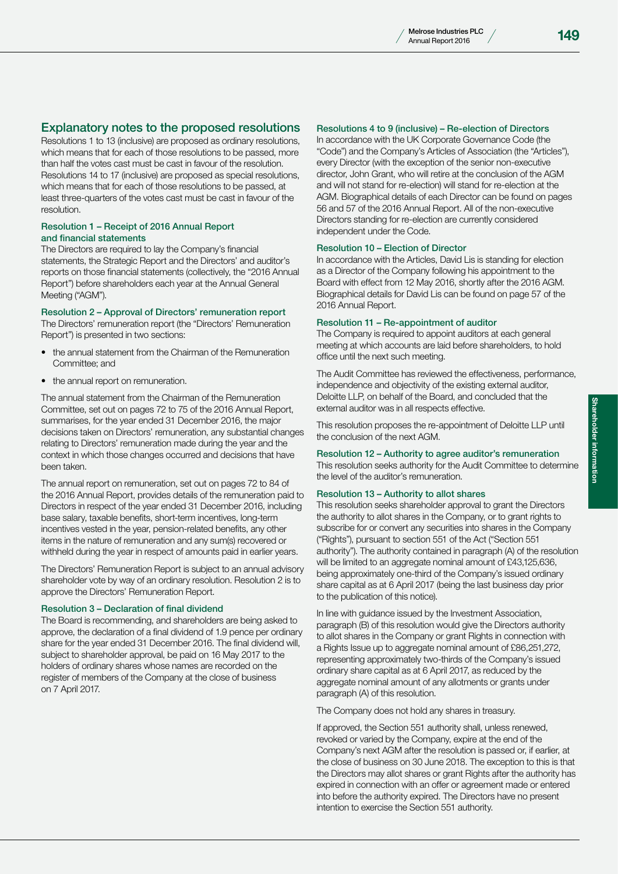## Explanatory notes to the proposed resolutions

Resolutions 1 to 13 (inclusive) are proposed as ordinary resolutions, which means that for each of those resolutions to be passed, more than half the votes cast must be cast in favour of the resolution. Resolutions 14 to 17 (inclusive) are proposed as special resolutions, which means that for each of those resolutions to be passed, at least three-quarters of the votes cast must be cast in favour of the resolution.

#### Resolution 1 – Receipt of 2016 Annual Report and financial statements

The Directors are required to lay the Company's financial statements, the Strategic Report and the Directors' and auditor's reports on those financial statements (collectively, the "2016 Annual Report") before shareholders each year at the Annual General Meeting ("AGM").

#### Resolution 2 – Approval of Directors' remuneration report

The Directors' remuneration report (the "Directors' Remuneration Report") is presented in two sections:

- the annual statement from the Chairman of the Remuneration Committee; and
- the annual report on remuneration.

The annual statement from the Chairman of the Remuneration Committee, set out on pages 72 to 75 of the 2016 Annual Report, summarises, for the year ended 31 December 2016, the major decisions taken on Directors' remuneration, any substantial changes relating to Directors' remuneration made during the year and the context in which those changes occurred and decisions that have been taken.

The annual report on remuneration, set out on pages 72 to 84 of the 2016 Annual Report, provides details of the remuneration paid to Directors in respect of the year ended 31 December 2016, including base salary, taxable benefits, short-term incentives, long-term incentives vested in the year, pension-related benefits, any other items in the nature of remuneration and any sum(s) recovered or withheld during the year in respect of amounts paid in earlier years.

The Directors' Remuneration Report is subject to an annual advisory shareholder vote by way of an ordinary resolution. Resolution 2 is to approve the Directors' Remuneration Report.

#### Resolution 3 – Declaration of final dividend

The Board is recommending, and shareholders are being asked to approve, the declaration of a final dividend of 1.9 pence per ordinary share for the year ended 31 December 2016. The final dividend will, subject to shareholder approval, be paid on 16 May 2017 to the holders of ordinary shares whose names are recorded on the register of members of the Company at the close of business on 7 April 2017.

### Resolutions 4 to 9 (inclusive) – Re-election of Directors

In accordance with the UK Corporate Governance Code (the "Code") and the Company's Articles of Association (the "Articles"), every Director (with the exception of the senior non-executive director, John Grant, who will retire at the conclusion of the AGM and will not stand for re-election) will stand for re-election at the AGM. Biographical details of each Director can be found on pages 56 and 57 of the 2016 Annual Report. All of the non-executive Directors standing for re-election are currently considered independent under the Code.

#### Resolution 10 – Election of Director

In accordance with the Articles, David Lis is standing for election as a Director of the Company following his appointment to the Board with effect from 12 May 2016, shortly after the 2016 AGM. Biographical details for David Lis can be found on page 57 of the 2016 Annual Report.

#### Resolution 11 – Re-appointment of auditor

The Company is required to appoint auditors at each general meeting at which accounts are laid before shareholders, to hold office until the next such meeting.

The Audit Committee has reviewed the effectiveness, performance, independence and objectivity of the existing external auditor, Deloitte LLP, on behalf of the Board, and concluded that the external auditor was in all respects effective.

This resolution proposes the re-appointment of Deloitte LLP until the conclusion of the next AGM.

#### Resolution 12 – Authority to agree auditor's remuneration

This resolution seeks authority for the Audit Committee to determine the level of the auditor's remuneration.

#### Resolution 13 – Authority to allot shares

This resolution seeks shareholder approval to grant the Directors the authority to allot shares in the Company, or to grant rights to subscribe for or convert any securities into shares in the Company ("Rights"), pursuant to section 551 of the Act ("Section 551 authority"). The authority contained in paragraph (A) of the resolution will be limited to an aggregate nominal amount of £43,125,636, being approximately one-third of the Company's issued ordinary share capital as at 6 April 2017 (being the last business day prior to the publication of this notice).

In line with guidance issued by the Investment Association, paragraph (B) of this resolution would give the Directors authority to allot shares in the Company or grant Rights in connection with a Rights Issue up to aggregate nominal amount of £86,251,272, representing approximately two-thirds of the Company's issued ordinary share capital as at 6 April 2017, as reduced by the aggregate nominal amount of any allotments or grants under paragraph (A) of this resolution.

The Company does not hold any shares in treasury.

If approved, the Section 551 authority shall, unless renewed, revoked or varied by the Company, expire at the end of the Company's next AGM after the resolution is passed or, if earlier, at the close of business on 30 June 2018. The exception to this is that the Directors may allot shares or grant Rights after the authority has expired in connection with an offer or agreement made or entered into before the authority expired. The Directors have no present intention to exercise the Section 551 authority.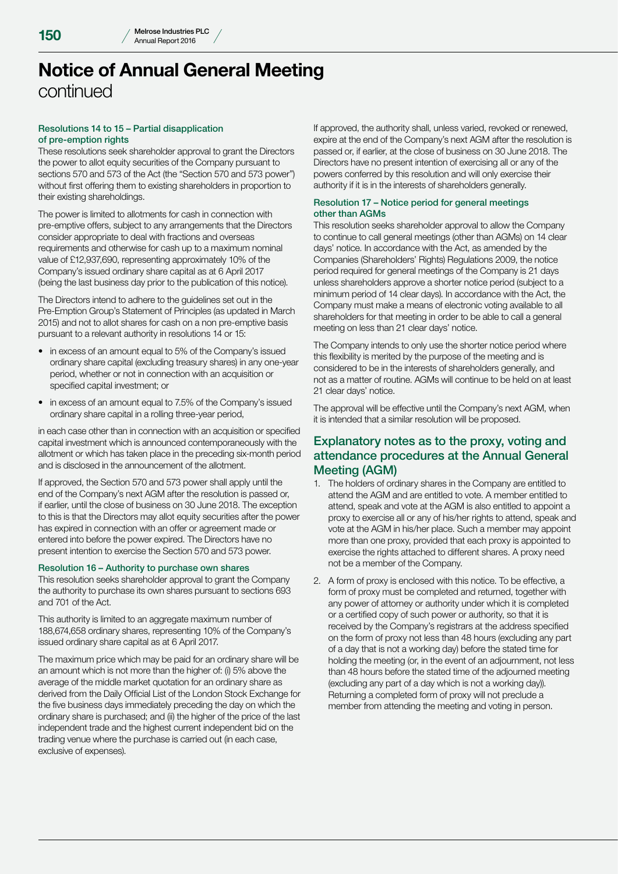# Notice of Annual General Meeting continued

### Resolutions 14 to 15 – Partial disapplication of pre-emption rights

These resolutions seek shareholder approval to grant the Directors the power to allot equity securities of the Company pursuant to sections 570 and 573 of the Act (the "Section 570 and 573 power") without first offering them to existing shareholders in proportion to their existing shareholdings.

The power is limited to allotments for cash in connection with pre-emptive offers, subject to any arrangements that the Directors consider appropriate to deal with fractions and overseas requirements and otherwise for cash up to a maximum nominal value of £12,937,690, representing approximately 10% of the Company's issued ordinary share capital as at 6 April 2017 (being the last business day prior to the publication of this notice).

The Directors intend to adhere to the guidelines set out in the Pre-Emption Group's Statement of Principles (as updated in March 2015) and not to allot shares for cash on a non pre-emptive basis pursuant to a relevant authority in resolutions 14 or 15:

- in excess of an amount equal to 5% of the Company's issued ordinary share capital (excluding treasury shares) in any one-year period, whether or not in connection with an acquisition or specified capital investment; or
- in excess of an amount equal to 7.5% of the Company's issued ordinary share capital in a rolling three-year period,

in each case other than in connection with an acquisition or specified capital investment which is announced contemporaneously with the allotment or which has taken place in the preceding six-month period and is disclosed in the announcement of the allotment.

If approved, the Section 570 and 573 power shall apply until the end of the Company's next AGM after the resolution is passed or, if earlier, until the close of business on 30 June 2018. The exception to this is that the Directors may allot equity securities after the power has expired in connection with an offer or agreement made or entered into before the power expired. The Directors have no present intention to exercise the Section 570 and 573 power.

#### Resolution 16 – Authority to purchase own shares

This resolution seeks shareholder approval to grant the Company the authority to purchase its own shares pursuant to sections 693 and 701 of the Act.

This authority is limited to an aggregate maximum number of 188,674,658 ordinary shares, representing 10% of the Company's issued ordinary share capital as at 6 April 2017.

The maximum price which may be paid for an ordinary share will be an amount which is not more than the higher of: (i) 5% above the average of the middle market quotation for an ordinary share as derived from the Daily Official List of the London Stock Exchange for the five business days immediately preceding the day on which the ordinary share is purchased; and (ii) the higher of the price of the last independent trade and the highest current independent bid on the trading venue where the purchase is carried out (in each case, exclusive of expenses).

If approved, the authority shall, unless varied, revoked or renewed, expire at the end of the Company's next AGM after the resolution is passed or, if earlier, at the close of business on 30 June 2018. The Directors have no present intention of exercising all or any of the powers conferred by this resolution and will only exercise their authority if it is in the interests of shareholders generally.

#### Resolution 17 – Notice period for general meetings other than AGMs

This resolution seeks shareholder approval to allow the Company to continue to call general meetings (other than AGMs) on 14 clear days' notice. In accordance with the Act, as amended by the Companies (Shareholders' Rights) Regulations 2009, the notice period required for general meetings of the Company is 21 days unless shareholders approve a shorter notice period (subject to a minimum period of 14 clear days). In accordance with the Act, the Company must make a means of electronic voting available to all shareholders for that meeting in order to be able to call a general meeting on less than 21 clear days' notice.

The Company intends to only use the shorter notice period where this flexibility is merited by the purpose of the meeting and is considered to be in the interests of shareholders generally, and not as a matter of routine. AGMs will continue to be held on at least 21 clear days' notice.

The approval will be effective until the Company's next AGM, when it is intended that a similar resolution will be proposed.

### Explanatory notes as to the proxy, voting and attendance procedures at the Annual General Meeting (AGM)

- 1. The holders of ordinary shares in the Company are entitled to attend the AGM and are entitled to vote. A member entitled to attend, speak and vote at the AGM is also entitled to appoint a proxy to exercise all or any of his/her rights to attend, speak and vote at the AGM in his/her place. Such a member may appoint more than one proxy, provided that each proxy is appointed to exercise the rights attached to different shares. A proxy need not be a member of the Company.
- 2. A form of proxy is enclosed with this notice. To be effective, a form of proxy must be completed and returned, together with any power of attorney or authority under which it is completed or a certified copy of such power or authority, so that it is received by the Company's registrars at the address specified on the form of proxy not less than 48 hours (excluding any part of a day that is not a working day) before the stated time for holding the meeting (or, in the event of an adjournment, not less than 48 hours before the stated time of the adjourned meeting (excluding any part of a day which is not a working day)). Returning a completed form of proxy will not preclude a member from attending the meeting and voting in person.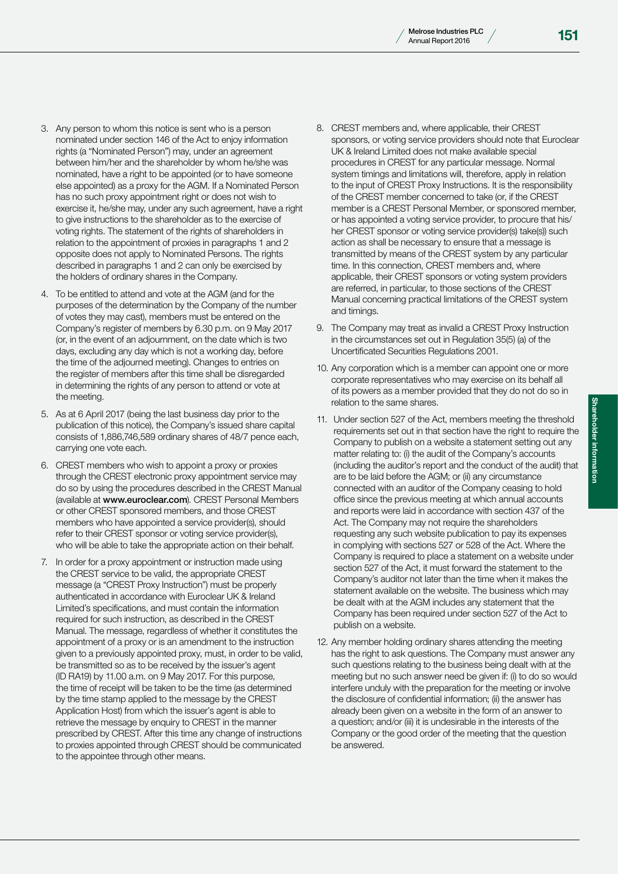- 3. Any person to whom this notice is sent who is a person nominated under section 146 of the Act to enjoy information rights (a "Nominated Person") may, under an agreement between him/her and the shareholder by whom he/she was nominated, have a right to be appointed (or to have someone else appointed) as a proxy for the AGM. If a Nominated Person has no such proxy appointment right or does not wish to exercise it, he/she may, under any such agreement, have a right to give instructions to the shareholder as to the exercise of voting rights. The statement of the rights of shareholders in relation to the appointment of proxies in paragraphs 1 and 2 opposite does not apply to Nominated Persons. The rights described in paragraphs 1 and 2 can only be exercised by the holders of ordinary shares in the Company.
- 4. To be entitled to attend and vote at the AGM (and for the purposes of the determination by the Company of the number of votes they may cast), members must be entered on the Company's register of members by 6.30 p.m. on 9 May 2017 (or, in the event of an adjournment, on the date which is two days, excluding any day which is not a working day, before the time of the adjourned meeting). Changes to entries on the register of members after this time shall be disregarded in determining the rights of any person to attend or vote at the meeting.
- 5. As at 6 April 2017 (being the last business day prior to the publication of this notice), the Company's issued share capital consists of 1,886,746,589 ordinary shares of 48/7 pence each, carrying one vote each.
- 6. CREST members who wish to appoint a proxy or proxies through the CREST electronic proxy appointment service may do so by using the procedures described in the CREST Manual (available at www.euroclear.com). CREST Personal Members or other CREST sponsored members, and those CREST members who have appointed a service provider(s), should refer to their CREST sponsor or voting service provider(s), who will be able to take the appropriate action on their behalf.
- 7. In order for a proxy appointment or instruction made using the CREST service to be valid, the appropriate CREST message (a "CREST Proxy Instruction") must be properly authenticated in accordance with Euroclear UK & Ireland Limited's specifications, and must contain the information required for such instruction, as described in the CREST Manual. The message, regardless of whether it constitutes the appointment of a proxy or is an amendment to the instruction given to a previously appointed proxy, must, in order to be valid, be transmitted so as to be received by the issuer's agent (ID RA19) by 11.00 a.m. on 9 May 2017. For this purpose, the time of receipt will be taken to be the time (as determined by the time stamp applied to the message by the CREST Application Host) from which the issuer's agent is able to retrieve the message by enquiry to CREST in the manner prescribed by CREST. After this time any change of instructions to proxies appointed through CREST should be communicated to the appointee through other means.

8. CREST members and, where applicable, their CREST sponsors, or voting service providers should note that Euroclear UK & Ireland Limited does not make available special procedures in CREST for any particular message. Normal system timings and limitations will, therefore, apply in relation to the input of CREST Proxy Instructions. It is the responsibility of the CREST member concerned to take (or, if the CREST member is a CREST Personal Member, or sponsored member, or has appointed a voting service provider, to procure that his/ her CREST sponsor or voting service provider(s) take(s)) such action as shall be necessary to ensure that a message is transmitted by means of the CREST system by any particular time. In this connection, CREST members and, where applicable, their CREST sponsors or voting system providers are referred, in particular, to those sections of the CREST Manual concerning practical limitations of the CREST system and timings.

Melrose Industries PLC

- 9. The Company may treat as invalid a CREST Proxy Instruction in the circumstances set out in Regulation 35(5) (a) of the Uncertificated Securities Regulations 2001.
- 10. Any corporation which is a member can appoint one or more corporate representatives who may exercise on its behalf all of its powers as a member provided that they do not do so in relation to the same shares.
- 11. Under section 527 of the Act, members meeting the threshold requirements set out in that section have the right to require the Company to publish on a website a statement setting out any matter relating to: (i) the audit of the Company's accounts (including the auditor's report and the conduct of the audit) that are to be laid before the AGM; or (ii) any circumstance connected with an auditor of the Company ceasing to hold office since the previous meeting at which annual accounts and reports were laid in accordance with section 437 of the Act. The Company may not require the shareholders requesting any such website publication to pay its expenses in complying with sections 527 or 528 of the Act. Where the Company is required to place a statement on a website under section 527 of the Act, it must forward the statement to the Company's auditor not later than the time when it makes the statement available on the website. The business which may be dealt with at the AGM includes any statement that the Company has been required under section 527 of the Act to publish on a website.
- 12. Any member holding ordinary shares attending the meeting has the right to ask questions. The Company must answer any such questions relating to the business being dealt with at the meeting but no such answer need be given if: (i) to do so would interfere unduly with the preparation for the meeting or involve the disclosure of confidential information; (ii) the answer has already been given on a website in the form of an answer to a question; and/or (iii) it is undesirable in the interests of the Company or the good order of the meeting that the question be answered.